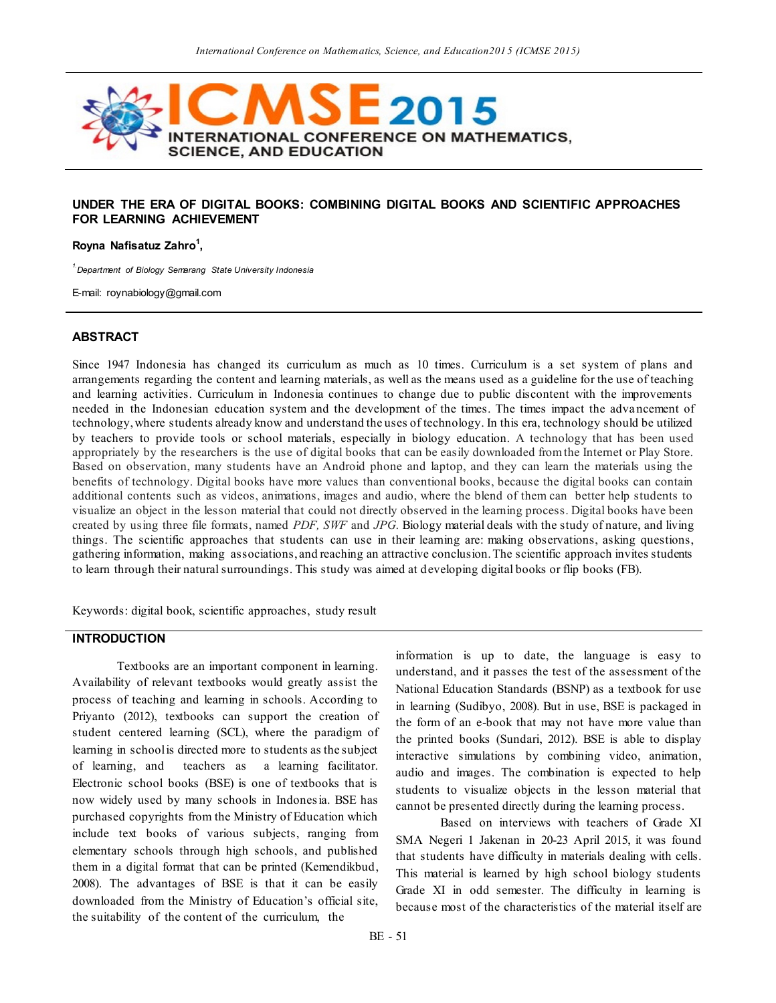

### **UNDER THE ERA OF DIGITAL BOOKS: COMBINING DIGITAL BOOKS AND SCIENTIFIC APPROACHES FOR LEARNING ACHIEVEMENT**

#### **Royna Nafisatuz Zahro<sup>1</sup> ,**

*1.Department of Biology Semarang State University Indonesia*

E-mail: roynabiology@gmail.com

#### **ABSTRACT**

Since 1947 Indonesia has changed its curriculum as much as 10 times. Curriculum is a set system of plans and arrangements regarding the content and learning materials, as well as the means used as a guideline for the use of teaching and learning activities. Curriculum in Indonesia continues to change due to public discontent with the improvements needed in the Indonesian education system and the development of the times. The times impact the adva ncement of technology, where students already know and understand the uses of technology. In this era, technology should be utilized by teachers to provide tools or school materials, especially in biology education. A technology that has been used appropriately by the researchers is the use of digital books that can be easily downloaded from the Internet or Play Store. Based on observation, many students have an Android phone and laptop, and they can learn the materials using the benefits of technology. Digital books have more values than conventional books, because the digital books can contain additional contents such as videos, animations, images and audio, where the blend of them can better help students to visualize an object in the lesson material that could not directly observed in the learning process. Digital books have been created by using three file formats, named *PDF, SWF* and *JPG*. Biology material deals with the study of nature, and living things. The scientific approaches that students can use in their learning are: making observations, asking questions, gathering information, making associations, and reaching an attractive conclusion. The scientific approach invites students to learn through their natural surroundings. This study was aimed at developing digital books or flip books (FB).

Keywords: digital book, scientific approaches, study result

### **INTRODUCTION**

Textbooks are an important component in learning. Availability of relevant textbooks would greatly assist the process of teaching and learning in schools. According to Priyanto (2012), textbooks can support the creation of student centered learning (SCL), where the paradigm of learning in school is directed more to students as the subject of learning, and teachers as a learning facilitator. Electronic school books (BSE) is one of textbooks that is now widely used by many schools in Indonesia. BSE has purchased copyrights from the Ministry of Education which include text books of various subjects, ranging from elementary schools through high schools, and published them in a digital format that can be printed (Kemendikbud, 2008). The advantages of BSE is that it can be easily downloaded from the Ministry of Education's official site, the suitability of the content of the curriculum, the

information is up to date, the language is easy to understand, and it passes the test of the assessment of the National Education Standards (BSNP) as a textbook for use in learning (Sudibyo, 2008). But in use, BSE is packaged in the form of an e-book that may not have more value than the printed books (Sundari, 2012). BSE is able to display interactive simulations by combining video, animation, audio and images. The combination is expected to help students to visualize objects in the lesson material that cannot be presented directly during the learning process.

Based on interviews with teachers of Grade XI SMA Negeri 1 Jakenan in 20-23 April 2015, it was found that students have difficulty in materials dealing with cells. This material is learned by high school biology students Grade XI in odd semester. The difficulty in learning is because most of the characteristics of the material itself are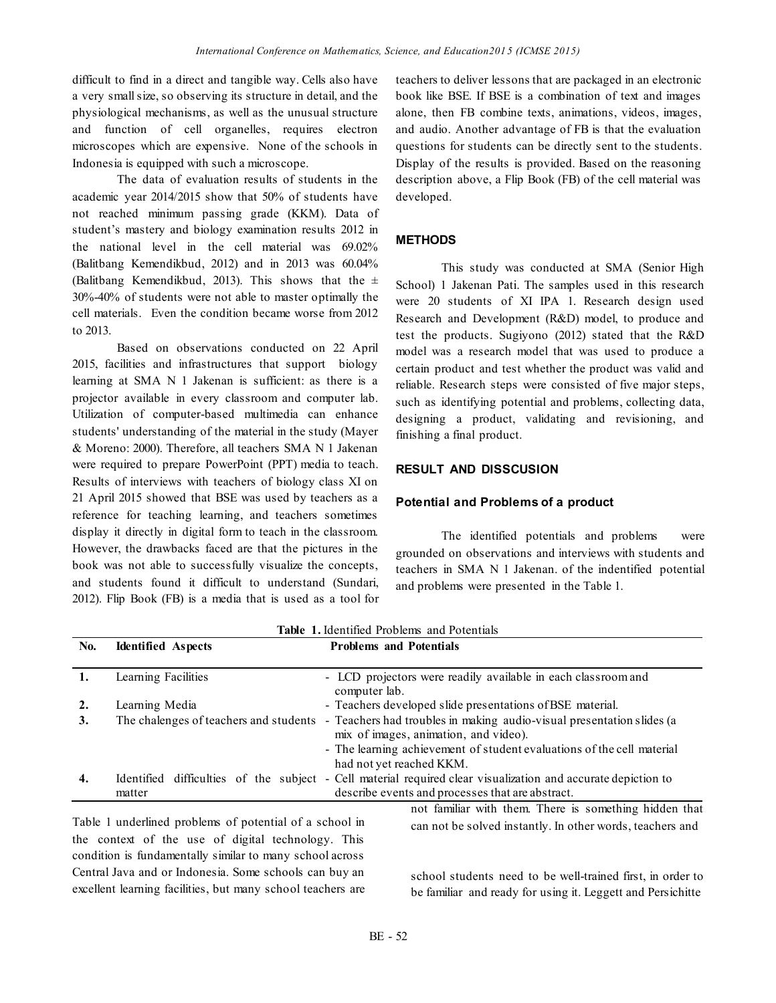difficult to find in a direct and tangible way. Cells also have a very small size, so observing its structure in detail, and the physiological mechanisms, as well as the unusual structure and function of cell organelles, requires electron microscopes which are expensive. None of the schools in Indonesia is equipped with such a microscope.

The data of evaluation results of students in the academic year 2014/2015 show that 50% of students have not reached minimum passing grade (KKM). Data of student's mastery and biology examination results 2012 in the national level in the cell material was 69.02% (Balitbang Kemendikbud, 2012) and in 2013 was 60.04% (Balitbang Kemendikbud, 2013). This shows that the  $\pm$ 30%-40% of students were not able to master optimally the cell materials. Even the condition became worse from 2012 to 2013.

Based on observations conducted on 22 April 2015, facilities and infrastructures that support biology learning at SMA N 1 Jakenan is sufficient: as there is a projector available in every classroom and computer lab. Utilization of computer-based multimedia can enhance students' understanding of the material in the study (Mayer & Moreno: 2000). Therefore, all teachers SMA N 1 Jakenan were required to prepare PowerPoint (PPT) media to teach. Results of interviews with teachers of biology class XI on 21 April 2015 showed that BSE was used by teachers as a reference for teaching learning, and teachers sometimes display it directly in digital form to teach in the classroom. However, the drawbacks faced are that the pictures in the book was not able to successfully visualize the concepts, and students found it difficult to understand (Sundari, 2012). Flip Book (FB) is a media that is used as a tool for teachers to deliver lessons that are packaged in an electronic book like BSE. If BSE is a combination of text and images alone, then FB combine texts, animations, videos, images, and audio. Another advantage of FB is that the evaluation questions for students can be directly sent to the students. Display of the results is provided. Based on the reasoning description above, a Flip Book (FB) of the cell material was developed.

# **METHODS**

This study was conducted at SMA (Senior High School) 1 Jakenan Pati. The samples used in this research were 20 students of XI IPA 1. Research design used Research and Development (R&D) model, to produce and test the products. Sugiyono (2012) stated that the R&D model was a research model that was used to produce a certain product and test whether the product was valid and reliable. Research steps were consisted of five major steps, such as identifying potential and problems, collecting data, designing a product, validating and revisioning, and finishing a final product.

# **RESULT AND DISSCUSION**

### **Potential and Problems of a product**

The identified potentials and problems were grounded on observations and interviews with students and teachers in SMA N 1 Jakenan. of the indentified potential and problems were presented in the Table 1.

| No. | <b>Identified</b> Aspects              | <b>Problems and Potentials</b>                                                                                 |
|-----|----------------------------------------|----------------------------------------------------------------------------------------------------------------|
|     | Learning Facilities                    | - LCD projectors were readily available in each classroom and<br>computer lab.                                 |
| 2.  | Learning Media                         | - Teachers developed slide presentations of BSE material.                                                      |
| 3.  | The chalenges of teachers and students | - Teachers had troubles in making audio-visual presentation slides (a<br>mix of images, animation, and video). |
|     |                                        | - The learning achievement of student evaluations of the cell material<br>had not yet reached KKM.             |
| 4.  | Identified difficulties of the subject | - Cell material required clear visualization and accurate depiction to                                         |
|     | matter                                 | describe events and processes that are abstract.                                                               |
|     |                                        | not familiar with them. There is something hidden that                                                         |

## **Table 1.** Identified Problems and Potentials

Table 1 underlined problems of potential of a school in the context of the use of digital technology. This condition is fundamentally similar to many school across Central Java and or Indonesia. Some schools can buy an excellent learning facilities, but many school teachers are

not familiar with them. There is something hidden that can not be solved instantly. In other words, teachers and

school students need to be well-trained first, in order to be familiar and ready for using it. Leggett and Persichitte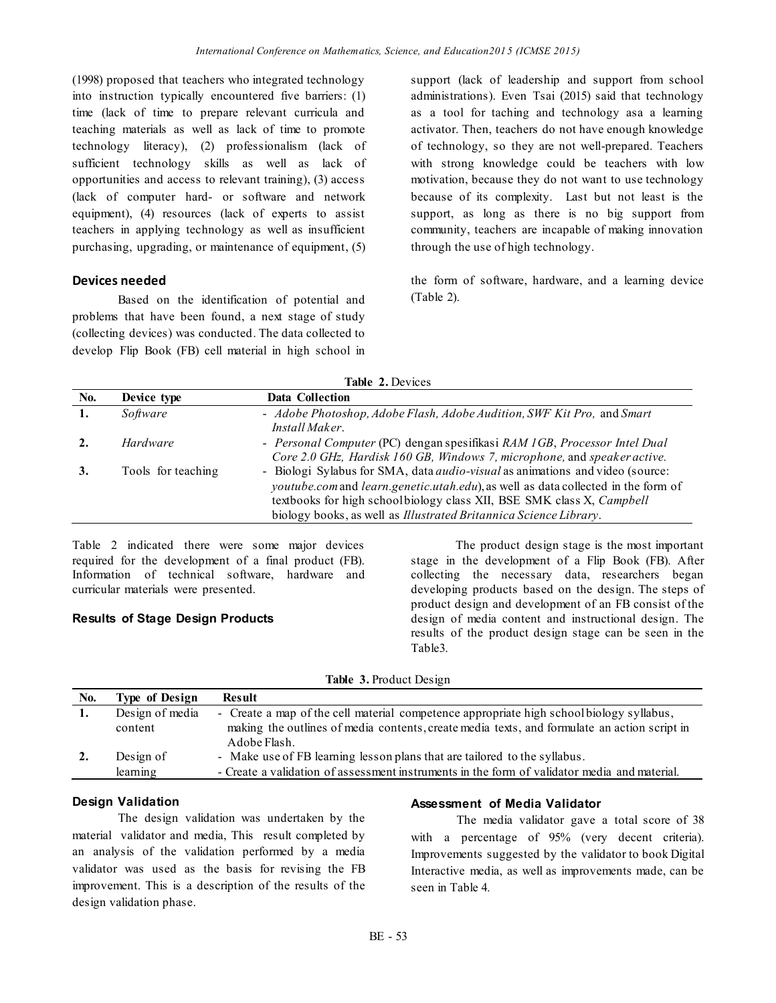(1998) proposed that teachers who integrated technology into instruction typically encountered five barriers: (1) time (lack of time to prepare relevant curricula and teaching materials as well as lack of time to promote technology literacy), (2) professionalism (lack of sufficient technology skills as well as lack of opportunities and access to relevant training), (3) access (lack of computer hard- or software and network equipment), (4) resources (lack of experts to assist teachers in applying technology as well as insufficient purchasing, upgrading, or maintenance of equipment, (5)

## **Devices needed**

Based on the identification of potential and problems that have been found, a next stage of study (collecting devices) was conducted. The data collected to develop Flip Book (FB) cell material in high school in

support (lack of leadership and support from school administrations). Even Tsai (2015) said that technology as a tool for taching and technology asa a learning activator. Then, teachers do not have enough knowledge of technology, so they are not well-prepared. Teachers with strong knowledge could be teachers with low motivation, because they do not want to use technology because of its complexity. Last but not least is the support, as long as there is no big support from community, teachers are incapable of making innovation through the use of high technology.

the form of software, hardware, and a learning device (Table 2).

| Table 2. Devices |                    |                                                                                                                                                                                                                                                                                                                         |  |  |
|------------------|--------------------|-------------------------------------------------------------------------------------------------------------------------------------------------------------------------------------------------------------------------------------------------------------------------------------------------------------------------|--|--|
| <b>No.</b>       | Device type        | <b>Data Collection</b>                                                                                                                                                                                                                                                                                                  |  |  |
| 1.               | Software           | - Adobe Photoshop, Adobe Flash, Adobe Audition, SWF Kit Pro, and Smart<br>Install Maker.                                                                                                                                                                                                                                |  |  |
|                  | Hardware           | - Personal Computer (PC) dengan spesifikasi RAM 1GB, Processor Intel Dual<br>Core 2.0 GHz, Hardisk 160 GB, Windows 7, microphone, and speaker active.                                                                                                                                                                   |  |  |
| 3.               | Tools for teaching | - Biologi Sylabus for SMA, data <i>audio-visual</i> as animations and video (source:<br>youtube.com and learn.genetic.utah.edu), as well as data collected in the form of<br>textbooks for high schoolbiology class XII, BSE SMK class X, Campbell<br>biology books, as well as Illustrated Britannica Science Library. |  |  |

Table 2 indicated there were some major devices required for the development of a final product (FB). Information of technical software, hardware and curricular materials were presented.

### **Results of Stage Design Products**

The product design stage is the most important stage in the development of a Flip Book (FB). After collecting the necessary data, researchers began developing products based on the design. The steps of product design and development of an FB consist of the design of media content and instructional design. The results of the product design stage can be seen in the Table3.

| <b>Table 3. Product Design</b> |                       |                                                                                                              |  |
|--------------------------------|-----------------------|--------------------------------------------------------------------------------------------------------------|--|
| No.                            | <b>Type of Design</b> | <b>Result</b>                                                                                                |  |
|                                | Design of media       | - Create a map of the cell material competence appropriate high school biology syllabus,                     |  |
|                                | content               | making the outlines of media contents, create media texts, and formulate an action script in<br>Adobe Flash. |  |
| 2.                             | Design of             | - Make use of FB learning lesson plans that are tailored to the syllabus.                                    |  |
|                                | learning              | - Create a validation of assessment instruments in the form of validator media and material.                 |  |

#### **Design Validation**

The design validation was undertaken by the material validator and media, This result completed by an analysis of the validation performed by a media validator was used as the basis for revising the FB improvement. This is a description of the results of the design validation phase.

#### **Assessment of Media Validator**

The media validator gave a total score of 38 with a percentage of 95% (very decent criteria). Improvements suggested by the validator to book Digital Interactive media, as well as improvements made, can be seen in Table 4.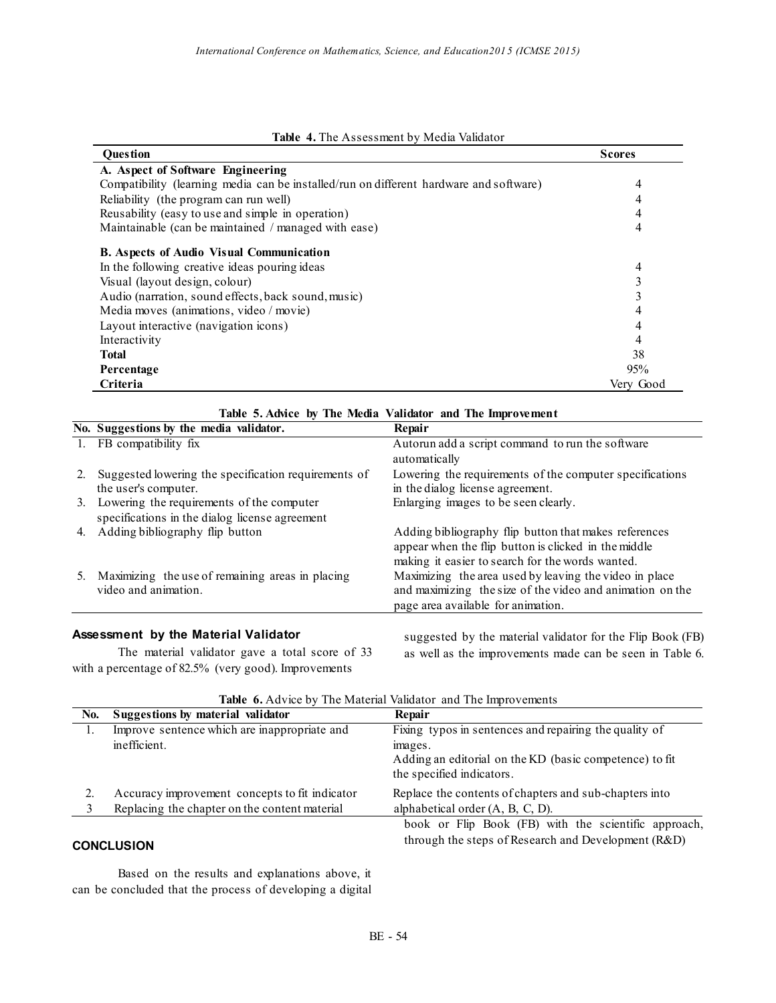|  |  | Table 4. The Assessment by Media Validator |  |  |  |
|--|--|--------------------------------------------|--|--|--|
|--|--|--------------------------------------------|--|--|--|

| <b>Ouestion</b>                                                                        | <b>Scores</b> |
|----------------------------------------------------------------------------------------|---------------|
| A. Aspect of Software Engineering                                                      |               |
| Compatibility (learning media can be installed/run on different hardware and software) | 4             |
| Reliability (the program can run well)                                                 |               |
| Reusability (easy to use and simple in operation)                                      | 4             |
| Maintainable (can be maintained / managed with ease)                                   | 4             |
| <b>B.</b> Aspects of Audio Visual Communication                                        |               |
| In the following creative ideas pouring ideas                                          | 4             |
| Visual (layout design, colour)                                                         |               |
| Audio (narration, sound effects, back sound, music)                                    |               |
| Media moves (animations, video / movie)                                                | 4             |
| Layout interactive (navigation icons)                                                  | 4             |
| Interactivity                                                                          | 4             |
| <b>Total</b>                                                                           | 38            |
| Percentage                                                                             | 95%           |
| Criteria                                                                               | Very Good     |

| Table 5. Advice by The Media Validator and The Improvement |                                                                                             |                                                                                                                                                                   |
|------------------------------------------------------------|---------------------------------------------------------------------------------------------|-------------------------------------------------------------------------------------------------------------------------------------------------------------------|
|                                                            | No. Suggestions by the media validator.                                                     | Repair                                                                                                                                                            |
|                                                            | 1. FB compatibility fix                                                                     | Autorun add a script command to run the software<br>automatically                                                                                                 |
|                                                            | Suggested lowering the specification requirements of<br>the user's computer.                | Lowering the requirements of the computer specifications<br>in the dialog license agreement.                                                                      |
| 3.                                                         | Lowering the requirements of the computer<br>specifications in the dialog license agreement | Enlarging images to be seen clearly.                                                                                                                              |
| 4.                                                         | Adding bibliography flip button                                                             | Adding bibliography flip button that makes references<br>appear when the flip button is clicked in the middle<br>making it easier to search for the words wanted. |
| 5.                                                         | Maximizing the use of remaining areas in placing<br>video and animation.                    | Maximizing the area used by leaving the video in place<br>and maximizing the size of the video and animation on the<br>page area available for animation.         |
|                                                            | Assessment by the Material Validator                                                        | suggested by the material validator for the Flip Book (FB)                                                                                                        |

The material validator gave a total score of 33 with a percentage of 82.5% (very good). Improvements

suggested by the material validator for the Flip Book (FB) as well as the improvements made can be seen in Table 6.

|                   | <b>Table 0. Auvice</b> by The Material Vandator and The improvements |                                                                                                                                                           |  |  |  |
|-------------------|----------------------------------------------------------------------|-----------------------------------------------------------------------------------------------------------------------------------------------------------|--|--|--|
| No.               | Suggestions by material validator                                    | Repair                                                                                                                                                    |  |  |  |
|                   | Improve sentence which are inappropriate and<br>inefficient.         | Fixing typos in sentences and repairing the quality of<br>images.<br>Adding an editorial on the KD (basic competence) to fit<br>the specified indicators. |  |  |  |
|                   | Accuracy improvement concepts to fit indicator                       | Replace the contents of chapters and sub-chapters into                                                                                                    |  |  |  |
|                   | Replacing the chapter on the content material                        | alphabetical order $(A, B, C, D)$ .                                                                                                                       |  |  |  |
| <b>CONCLUSION</b> |                                                                      | book or Flip Book (FB) with the scientific approach,<br>through the steps of Research and Development (R&D)                                               |  |  |  |

**Table 6.** Advice by The Material Validator and The Improvements

Based on the results and explanations above, it can be concluded that the process of developing a digital